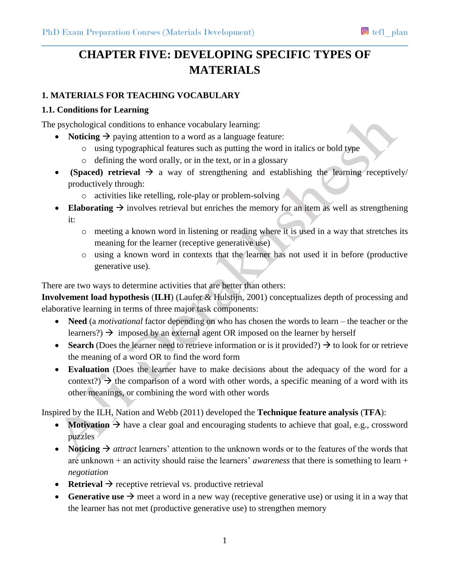# **CHAPTER FIVE: DEVELOPING SPECIFIC TYPES OF MATERIALS**

### **1. MATERIALS FOR TEACHING VOCABULARY**

#### **1.1. Conditions for Learning**

The psychological conditions to enhance vocabulary learning:

- **Noticing**  $\rightarrow$  paying attention to a word as a language feature:
	- o using typographical features such as putting the word in italics or bold type
	- o defining the word orally, or in the text, or in a glossary
- **•** (Spaced) **retrieval**  $\rightarrow$  a way of strengthening and establishing the learning receptively/ productively through:
	- $\circ$  activities like retelling, role-play or problem-solving  $\ell$
- **Elaborating**  $\rightarrow$  involves retrieval but enriches the memory for an item as well as strengthening it:
	- o meeting a known word in listening or reading where it is used in a way that stretches its meaning for the learner (receptive generative use)
	- o using a known word in contexts that the learner has not used it in before (productive generative use).

There are two ways to determine activities that are better than others:

**Involvement load hypothesis** (**ILH**) (Laufer & Hulstijn, 2001) conceptualizes depth of processing and elaborative learning in terms of three major task components:

- **Need** (a *motivational* factor depending on who has chosen the words to learn the teacher or the learners?)  $\rightarrow$  imposed by an external agent OR imposed on the learner by herself
- **Search** (Does the learner need to retrieve information or is it provided?)  $\rightarrow$  to look for or retrieve the meaning of a word OR to find the word form
- **Evaluation** (Does the learner have to make decisions about the adequacy of the word for a context?)  $\rightarrow$  the comparison of a word with other words, a specific meaning of a word with its other meanings, or combining the word with other words

Inspired by the ILH, Nation and Webb (2011) developed the **Technique feature analysis** (**TFA**):

- **Motivation**  $\rightarrow$  have a clear goal and encouraging students to achieve that goal, e.g., crossword puzzles
- Noticing  $\rightarrow$  *attract* learners' attention to the unknown words or to the features of the words that are unknown + an activity should raise the learners' *awareness* that there is something to learn + *negotiation*
- **• Retrieval**  $\rightarrow$  receptive retrieval vs. productive retrieval
- **Generative use**  $\rightarrow$  meet a word in a new way (receptive generative use) or using it in a way that the learner has not met (productive generative use) to strengthen memory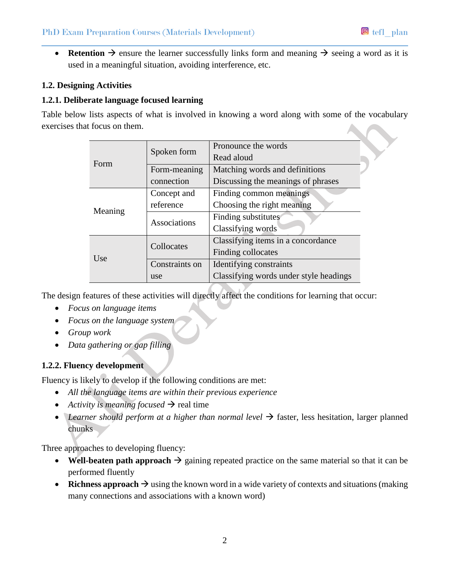• **Retention**  $\rightarrow$  ensure the learner successfully links form and meaning  $\rightarrow$  seeing a word as it is used in a meaningful situation, avoiding interference, etc.

#### **1.2. Designing Activities**

#### **1.2.1. Deliberate language focused learning**

Table below lists aspects of what is involved in knowing a word along with some of the vocabulary exercises that focus on them.

| i iyyus yii ulyin. |                |                                        |  |
|--------------------|----------------|----------------------------------------|--|
| Form               | Spoken form    | Pronounce the words                    |  |
|                    |                | Read aloud                             |  |
|                    | Form-meaning   | Matching words and definitions         |  |
|                    | connection     | Discussing the meanings of phrases     |  |
| Meaning            | Concept and    | Finding common meanings                |  |
|                    | reference      | Choosing the right meaning             |  |
|                    | Associations   | Finding substitutes                    |  |
|                    |                | Classifying words                      |  |
| Use                | Collocates     | Classifying items in a concordance     |  |
|                    |                | Finding collocates                     |  |
|                    | Constraints on | Identifying constraints                |  |
|                    | use            | Classifying words under style headings |  |

The design features of these activities will directly affect the conditions for learning that occur:

- *Focus on language items*
- *Focus on the language system*
- *Group work*
- *Data gathering or gap filling*

#### **1.2.2. Fluency development**

Fluency is likely to develop if the following conditions are met:

- *All the language items are within their previous experience*
- Activity is meaning focused  $\rightarrow$  real time
- Learner should perform at a higher than normal level  $\rightarrow$  faster, less hesitation, larger planned chunks

Three approaches to developing fluency:

- Well-beaten path approach  $\rightarrow$  gaining repeated practice on the same material so that it can be performed fluently
- **Richness approach**  $\rightarrow$  using the known word in a wide variety of contexts and situations (making many connections and associations with a known word)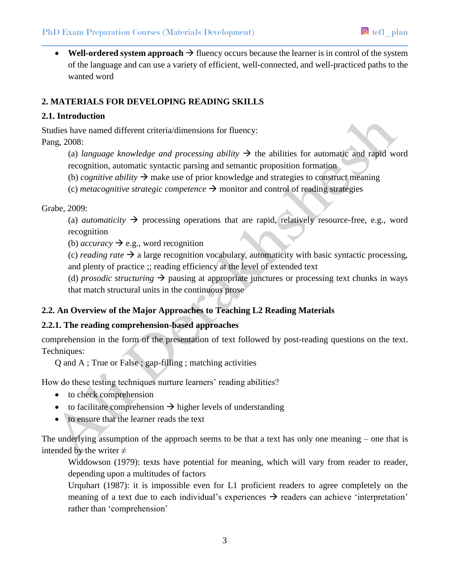• Well-ordered system approach  $\rightarrow$  fluency occurs because the learner is in control of the system of the language and can use a variety of efficient, well-connected, and well-practiced paths to the wanted word

### **2. MATERIALS FOR DEVELOPING READING SKILLS**

#### **2.1. Introduction**

Studies have named different criteria/dimensions for fluency: Pang, 2008:

- (a) *language knowledge and processing ability*  $\rightarrow$  the abilities for automatic and rapid word recognition, automatic syntactic parsing and semantic proposition formation
- (b) *cognitive ability*  $\rightarrow$  make use of prior knowledge and strategies to construct meaning
- (c) *metacognitive strategic competence*  $\rightarrow$  monitor and control of reading strategies

#### Grabe, 2009:

(a) *automaticity*  $\rightarrow$  processing operations that are rapid, relatively resource-free, e.g., word recognition

(b) *accuracy*  $\rightarrow$  e.g., word recognition

(c) *reading rate*  $\rightarrow$  a large recognition vocabulary, automaticity with basic syntactic processing, and plenty of practice ;; reading efficiency at the level of extended text

(d) *prosodic structuring*  $\rightarrow$  pausing at appropriate junctures or processing text chunks in ways that match structural units in the continuous prose

# **2.2. An Overview of the Major Approaches to Teaching L2 Reading Materials**

# **2.2.1. The reading comprehension-based approaches**

comprehension in the form of the presentation of text followed by post-reading questions on the text. Techniques:

Q and A ; True or False ; gap-filling ; matching activities

How do these testing techniques nurture learners' reading abilities?

- to check comprehension
- to facilitate comprehension  $\rightarrow$  higher levels of understanding
- to ensure that the learner reads the text

The underlying assumption of the approach seems to be that a text has only one meaning – one that is intended by the writer  $\neq$ 

Widdowson (1979): texts have potential for meaning, which will vary from reader to reader, depending upon a multitudes of factors

Urquhart (1987): it is impossible even for L1 proficient readers to agree completely on the meaning of a text due to each individual's experiences  $\rightarrow$  readers can achieve 'interpretation' rather than 'comprehension'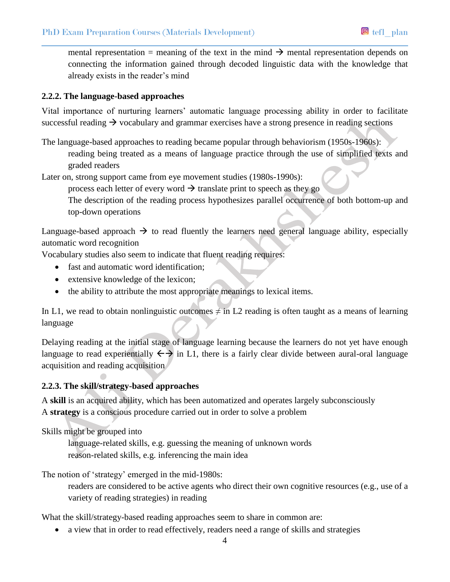mental representation = meaning of the text in the mind  $\rightarrow$  mental representation depends on connecting the information gained through decoded linguistic data with the knowledge that already exists in the reader's mind

#### **2.2.2. The language-based approaches**

Vital importance of nurturing learners' automatic language processing ability in order to facilitate successful reading  $\rightarrow$  vocabulary and grammar exercises have a strong presence in reading sections

The language-based approaches to reading became popular through behaviorism (1950s-1960s): reading being treated as a means of language practice through the use of simplified texts and graded readers

Later on, strong support came from eye movement studies (1980s-1990s):

process each letter of every word  $\rightarrow$  translate print to speech as they go

The description of the reading process hypothesizes parallel occurrence of both bottom-up and top-down operations

Language-based approach  $\rightarrow$  to read fluently the learners need general language ability, especially automatic word recognition

Vocabulary studies also seem to indicate that fluent reading requires:

- fast and automatic word identification;
- extensive knowledge of the lexicon;
- the ability to attribute the most appropriate meanings to lexical items.

In L1, we read to obtain nonlinguistic outcomes  $\neq$  in L2 reading is often taught as a means of learning language

Delaying reading at the initial stage of language learning because the learners do not yet have enough language to read experientially  $\leftarrow$  in L1, there is a fairly clear divide between aural-oral language acquisition and reading acquisition

# **2.2.3. The skill/strategy-based approaches**

A **skill** is an acquired ability, which has been automatized and operates largely subconsciously A **strategy** is a conscious procedure carried out in order to solve a problem

Skills might be grouped into

language-related skills, e.g. guessing the meaning of unknown words reason-related skills, e.g. inferencing the main idea

The notion of 'strategy' emerged in the mid-1980s:

readers are considered to be active agents who direct their own cognitive resources (e.g., use of a variety of reading strategies) in reading

What the skill/strategy-based reading approaches seem to share in common are:

• a view that in order to read effectively, readers need a range of skills and strategies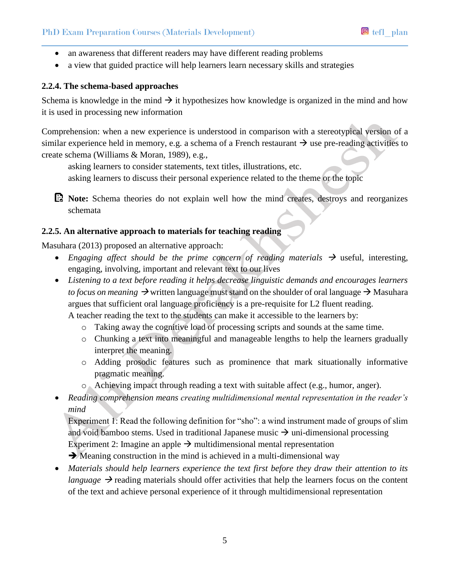- an awareness that different readers may have different reading problems
- a view that guided practice will help learners learn necessary skills and strategies

#### **2.2.4. The schema-based approaches**

Schema is knowledge in the mind  $\rightarrow$  it hypothesizes how knowledge is organized in the mind and how it is used in processing new information

Comprehension: when a new experience is understood in comparison with a stereotypical version of a similar experience held in memory, e.g. a schema of a French restaurant  $\rightarrow$  use pre-reading activities to create schema (Williams & Moran, 1989), e.g.,

asking learners to consider statements, text titles, illustrations, etc.

asking learners to discuss their personal experience related to the theme or the topic

**Note:** Schema theories do not explain well how the mind creates, destroys and reorganizes schemata

#### **2.2.5. An alternative approach to materials for teaching reading**

Masuhara (2013) proposed an alternative approach:

- Engaging affect should be the prime concern of reading materials  $\rightarrow$  useful, interesting, engaging, involving, important and relevant text to our lives
- *Listening to a text before reading it helps decrease linguistic demands and encourages learners to focus on meaning*  $\rightarrow$  written language must stand on the shoulder of oral language  $\rightarrow$  Masuhara argues that sufficient oral language proficiency is a pre-requisite for L2 fluent reading. A teacher reading the text to the students can make it accessible to the learners by:
	- o Taking away the cognitive load of processing scripts and sounds at the same time.
	- o Chunking a text into meaningful and manageable lengths to help the learners gradually interpret the meaning.
	- o Adding prosodic features such as prominence that mark situationally informative pragmatic meaning.
	- o Achieving impact through reading a text with suitable affect (e.g., humor, anger).
- *Reading comprehension means creating multidimensional mental representation in the reader's mind*

Experiment 1: Read the following definition for "sho": a wind instrument made of groups of slim and void bamboo stems. Used in traditional Japanese music  $\rightarrow$  uni-dimensional processing Experiment 2: Imagine an apple  $\rightarrow$  multidimensional mental representation

 $\rightarrow$  Meaning construction in the mind is achieved in a multi-dimensional way

 *Materials should help learners experience the text first before they draw their attention to its language*  $\rightarrow$  reading materials should offer activities that help the learners focus on the content of the text and achieve personal experience of it through multidimensional representation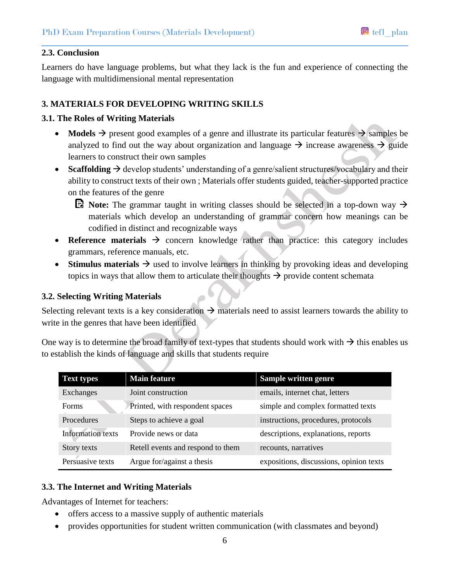#### **2.3. Conclusion**

Learners do have language problems, but what they lack is the fun and experience of connecting the language with multidimensional mental representation

#### **3. MATERIALS FOR DEVELOPING WRITING SKILLS**

#### **3.1. The Roles of Writing Materials**

- **Models**  $\rightarrow$  present good examples of a genre and illustrate its particular features  $\rightarrow$  samples be analyzed to find out the way about organization and language  $\rightarrow$  increase awareness  $\rightarrow$  guide learners to construct their own samples
- **Scaffolding**  $\rightarrow$  develop students' understanding of a genre/salient structures/vocabulary and their ability to construct texts of their own ; Materials offer students guided, teacher-supported practice on the features of the genre
	- **E** Note: The grammar taught in writing classes should be selected in a top-down way  $\rightarrow$ materials which develop an understanding of grammar concern how meanings can be codified in distinct and recognizable ways
- Reference materials  $\rightarrow$  concern knowledge rather than practice: this category includes grammars, reference manuals, etc.
- **Stimulus materials**  $\rightarrow$  used to involve learners in thinking by provoking ideas and developing topics in ways that allow them to articulate their thoughts  $\rightarrow$  provide content schemata

#### **3.2. Selecting Writing Materials**

Selecting relevant texts is a key consideration  $\rightarrow$  materials need to assist learners towards the ability to write in the genres that have been identified

One way is to determine the broad family of text-types that students should work with  $\rightarrow$  this enables us to establish the kinds of language and skills that students require

| <b>Text types</b>        | <b>Main feature</b>               | Sample written genre                    |
|--------------------------|-----------------------------------|-----------------------------------------|
| Exchanges                | Joint construction                | emails, internet chat, letters          |
| <b>Forms</b>             | Printed, with respondent spaces   | simple and complex formatted texts      |
| Procedures               | Steps to achieve a goal           | instructions, procedures, protocols     |
| <b>Information</b> texts | Provide news or data              | descriptions, explanations, reports     |
| Story texts              | Retell events and respond to them | recounts, narratives                    |
| Persuasive texts         | Argue for/against a thesis        | expositions, discussions, opinion texts |

#### **3.3. The Internet and Writing Materials**

Advantages of Internet for teachers:

- offers access to a massive supply of authentic materials
- provides opportunities for student written communication (with classmates and beyond)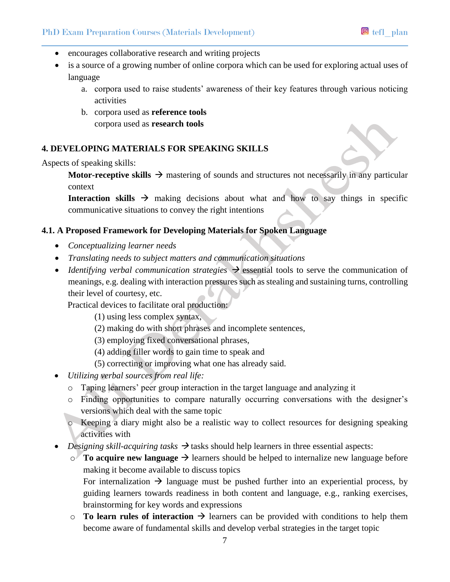- encourages collaborative research and writing projects
- is a source of a growing number of online corpora which can be used for exploring actual uses of language
	- a. corpora used to raise students' awareness of their key features through various noticing activities
	- b. corpora used as **reference tools**  corpora used as **research tools**

#### **4. DEVELOPING MATERIALS FOR SPEAKING SKILLS**

Aspects of speaking skills:

**Motor-receptive skills**  $\rightarrow$  **mastering of sounds and structures not necessarily in any particular** context

**Interaction skills**  $\rightarrow$  making decisions about what and how to say things in specific communicative situations to convey the right intentions

#### **4.1. A Proposed Framework for Developing Materials for Spoken Language**

- *Conceptualizing learner needs*
- *Translating needs to subject matters and communication situations*
- *Identifying verbal communication strategies*  $\rightarrow$  essential tools to serve the communication of meanings, e.g. dealing with interaction pressures such as stealing and sustaining turns, controlling their level of courtesy, etc.

Practical devices to facilitate oral production:

- (1) using less complex syntax,
- (2) making do with short phrases and incomplete sentences,
- (3) employing fixed conversational phrases,
- (4) adding filler words to gain time to speak and
- (5) correcting or improving what one has already said.
- *Utilizing verbal sources from real life:*
	- o Taping learners' peer group interaction in the target language and analyzing it
	- o Finding opportunities to compare naturally occurring conversations with the designer's versions which deal with the same topic
	- o Keeping a diary might also be a realistic way to collect resources for designing speaking activities with
- *Designing skill-acquiring tasks*  $\rightarrow$  tasks should help learners in three essential aspects:
	- $\circ$  **To acquire new language**  $\rightarrow$  learners should be helped to internalize new language before making it become available to discuss topics

For internalization  $\rightarrow$  language must be pushed further into an experiential process, by guiding learners towards readiness in both content and language, e.g., ranking exercises, brainstorming for key words and expressions

 $\circ$  **To learn rules of interaction**  $\rightarrow$  learners can be provided with conditions to help them become aware of fundamental skills and develop verbal strategies in the target topic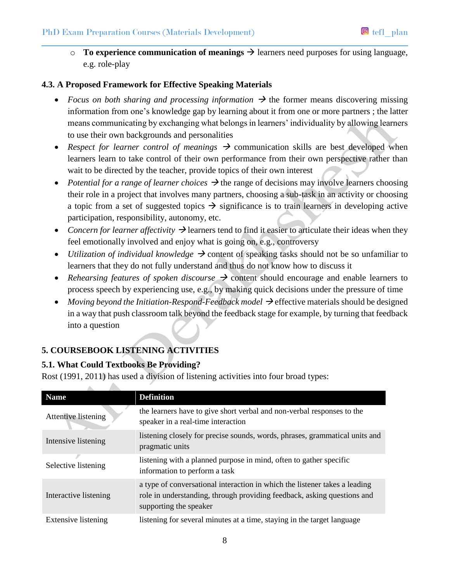$\circ$  **To experience communication of meanings**  $\rightarrow$  learners need purposes for using language, e.g. role-play

# **4.3. A Proposed Framework for Effective Speaking Materials**

- Focus on both sharing and processing information  $\rightarrow$  the former means discovering missing information from one's knowledge gap by learning about it from one or more partners ; the latter means communicating by exchanging what belongs in learners' individuality by allowing learners to use their own backgrounds and personalities
- *Respect for learner control of meanings*  $\rightarrow$  communication skills are best developed when learners learn to take control of their own performance from their own perspective rather than wait to be directed by the teacher, provide topics of their own interest
- *Potential for a range of learner choices*  $\rightarrow$  the range of decisions may involve learners choosing their role in a project that involves many partners, choosing a sub-task in an activity or choosing a topic from a set of suggested topics  $\rightarrow$  significance is to train learners in developing active participation, responsibility, autonomy, etc.
- Concern for learner affectivity  $\rightarrow$  learners tend to find it easier to articulate their ideas when they feel emotionally involved and enjoy what is going on, e.g., controversy
- *Utilization of individual knowledge*  $\rightarrow$  content of speaking tasks should not be so unfamiliar to learners that they do not fully understand and thus do not know how to discuss it
- Rehearsing features of spoken discourse  $\rightarrow$  content should encourage and enable learners to process speech by experiencing use, e.g., by making quick decisions under the pressure of time
- Moving beyond the Initiation-Respond-Feedback model  $\rightarrow$  effective materials should be designed in a way that push classroom talk beyond the feedback stage for example, by turning that feedback into a question

# **5. COURSEBOOK LISTENING ACTIVITIES**

# **5.1. What Could Textbooks Be Providing?**

Rost (1991, 2011) has used a division of listening activities into four broad types:

| <b>Name</b>                | <b>Definition</b>                                                                                                                                                               |
|----------------------------|---------------------------------------------------------------------------------------------------------------------------------------------------------------------------------|
| Attentive listening        | the learners have to give short verbal and non-verbal responses to the<br>speaker in a real-time interaction                                                                    |
| Intensive listening        | listening closely for precise sounds, words, phrases, grammatical units and<br>pragmatic units                                                                                  |
| Selective listening        | listening with a planned purpose in mind, often to gather specific<br>information to perform a task                                                                             |
| Interactive listening      | a type of conversational interaction in which the listener takes a leading<br>role in understanding, through providing feedback, asking questions and<br>supporting the speaker |
| <b>Extensive listening</b> | listening for several minutes at a time, staying in the target language                                                                                                         |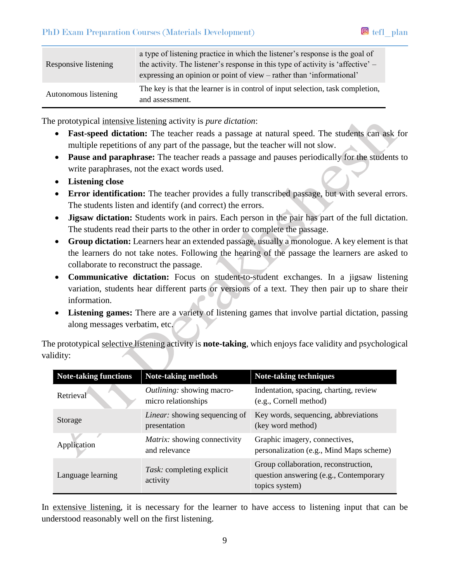| Responsive listening | a type of listening practice in which the listener's response is the goal of<br>the activity. The listener's response in this type of activity is 'affective' $-$<br>expressing an opinion or point of view – rather than 'informational' |
|----------------------|-------------------------------------------------------------------------------------------------------------------------------------------------------------------------------------------------------------------------------------------|
| Autonomous listening | The key is that the learner is in control of input selection, task completion,<br>and assessment.                                                                                                                                         |

The prototypical intensive listening activity is *pure dictation*:

- **Fast-speed dictation:** The teacher reads a passage at natural speed. The students can ask for multiple repetitions of any part of the passage, but the teacher will not slow.
- **Pause and paraphrase:** The teacher reads a passage and pauses periodically for the students to write paraphrases, not the exact words used.
- **Listening close**
- **Error identification:** The teacher provides a fully transcribed passage, but with several errors. The students listen and identify (and correct) the errors.
- **Jigsaw dictation:** Students work in pairs. Each person in the pair has part of the full dictation. The students read their parts to the other in order to complete the passage.
- **Group dictation:** Learners hear an extended passage, usually a monologue. A key element is that the learners do not take notes. Following the hearing of the passage the learners are asked to collaborate to reconstruct the passage.
- **Communicative dictation:** Focus on student-to-student exchanges. In a jigsaw listening variation, students hear different parts or versions of a text. They then pair up to share their information.
- **Listening games:** There are a variety of listening games that involve partial dictation, passing along messages verbatim, etc.

The prototypical selective listening activity is **note-taking**, which enjoys face validity and psychological validity:

| <b>Note-taking functions</b> | Note-taking methods                                     | <b>Note-taking techniques</b>                                                                    |
|------------------------------|---------------------------------------------------------|--------------------------------------------------------------------------------------------------|
| Retrieval                    | <i>Outlining:</i> showing macro-<br>micro relationships | Indentation, spacing, charting, review<br>(e.g., Cornell method)                                 |
| Storage                      | <i>Linear:</i> showing sequencing of<br>presentation    | Key words, sequencing, abbreviations<br>(key word method)                                        |
| Application                  | Matrix: showing connectivity<br>and relevance           | Graphic imagery, connectives,<br>personalization (e.g., Mind Maps scheme)                        |
| Language learning            | Task: completing explicit<br>activity                   | Group collaboration, reconstruction,<br>question answering (e.g., Contemporary<br>topics system) |

In extensive listening, it is necessary for the learner to have access to listening input that can be understood reasonably well on the first listening.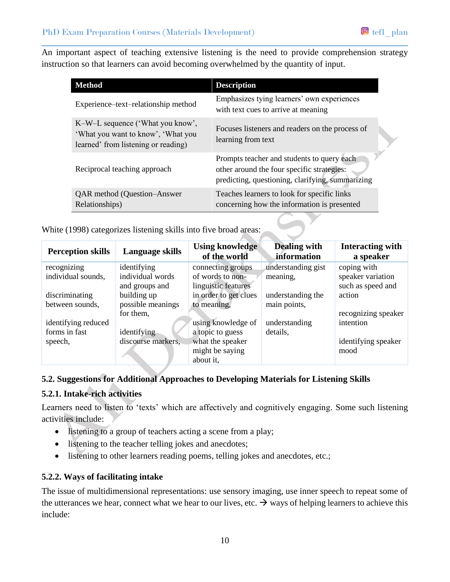An important aspect of teaching extensive listening is the need to provide comprehension strategy instruction so that learners can avoid becoming overwhelmed by the quantity of input.

| Method                                                                                                        | <b>Description</b>                                                                                                                           |
|---------------------------------------------------------------------------------------------------------------|----------------------------------------------------------------------------------------------------------------------------------------------|
| Experience–text–relationship method                                                                           | Emphasizes tying learners' own experiences<br>with text cues to arrive at meaning                                                            |
| K-W-L sequence ('What you know',<br>'What you want to know', 'What you<br>learned' from listening or reading) | Focuses listeners and readers on the process of<br>learning from text                                                                        |
| Reciprocal teaching approach                                                                                  | Prompts teacher and students to query each<br>other around the four specific strategies:<br>predicting, questioning, clarifying, summarizing |
| <b>QAR</b> method (Question–Answer<br>Relationships)                                                          | Teaches learners to look for specific links<br>concerning how the information is presented                                                   |

White (1998) categorizes listening skills into five broad areas:

| <b>Perception skills</b> | Language skills    | <b>Using knowledge</b><br>of the world | <b>Dealing with</b><br>information | Interacting with<br>a speaker |
|--------------------------|--------------------|----------------------------------------|------------------------------------|-------------------------------|
| recognizing              | identifying        | connecting groups                      | understanding gist                 | coping with                   |
| individual sounds,       | individual words   | of words to non-                       | meaning,                           | speaker variation             |
|                          | and groups and     | linguistic features                    |                                    | such as speed and             |
| discriminating           | building up        | in order to get clues                  | understanding the                  | action                        |
| between sounds,          | possible meanings  | to meaning,                            | main points,                       |                               |
|                          | for them,          |                                        |                                    | recognizing speaker           |
| identifying reduced      |                    | using knowledge of                     | understanding                      | intention                     |
| forms in fast            | identifying        | a topic to guess                       | details,                           |                               |
| speech,                  | discourse markers, | what the speaker                       |                                    | identifying speaker           |
|                          |                    | might be saying                        |                                    | mood                          |
|                          |                    | about it,                              |                                    |                               |

# **5.2. Suggestions for Additional Approaches to Developing Materials for Listening Skills**

# **5.2.1. Intake-rich activities**

Learners need to listen to 'texts' which are affectively and cognitively engaging. Some such listening activities include:

- listening to a group of teachers acting a scene from a play;
- listening to the teacher telling jokes and anecdotes;
- listening to other learners reading poems, telling jokes and anecdotes, etc.;

# **5.2.2. Ways of facilitating intake**

The issue of multidimensional representations: use sensory imaging, use inner speech to repeat some of the utterances we hear, connect what we hear to our lives, etc.  $\rightarrow$  ways of helping learners to achieve this include: